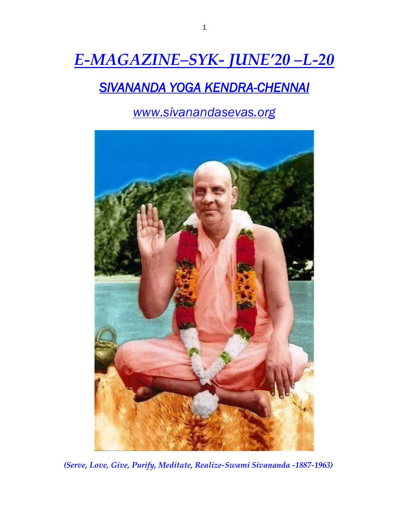# *E-MAGAZINE–SYK- JUNE'20 –L-20*

## *SIVANANDA YOGA KENDRA-CHENNAI*

*www.sivanandasevas.org*



*(Serve, Love, Give, Purify, Meditate, Realize-Swami Sivananda -1887-1963)*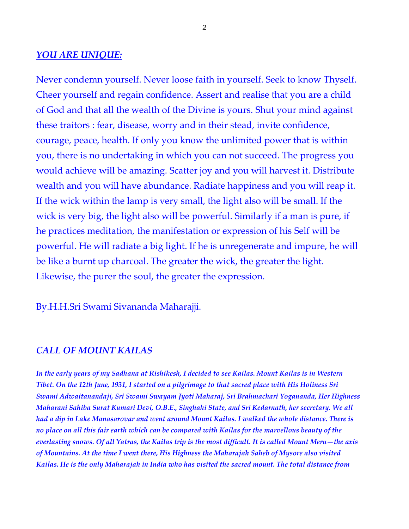#### *YOU ARE UNIQUE:*

Never condemn yourself. Never loose faith in yourself. Seek to know Thyself. Cheer yourself and regain confidence. Assert and realise that you are a child of God and that all the wealth of the Divine is yours. Shut your mind against these traitors : fear, disease, worry and in their stead, invite confidence, courage, peace, health. If only you know the unlimited power that is within you, there is no undertaking in which you can not succeed. The progress you would achieve will be amazing. Scatter joy and you will harvest it. Distribute wealth and you will have abundance. Radiate happiness and you will reap it. If the wick within the lamp is very small, the light also will be small. If the wick is very big, the light also will be powerful. Similarly if a man is pure, if he practices meditation, the manifestation or expression of his Self will be powerful. He will radiate a big light. If he is unregenerate and impure, he will be like a burnt up charcoal. The greater the wick, the greater the light. Likewise, the purer the soul, the greater the expression.

By.H.H.Sri Swami Sivananda Maharajji.

#### *CALL OF MOUNT KAILAS*

*In the early years of my Sadhana at Rishikesh, I decided to see Kailas. Mount Kailas is in Western Tibet. On the 12th June, 1931, I started on a pilgrimage to that sacred place with His Holiness Sri Swami Adwaitanandaji, Sri Swami Swayam Jyoti Maharaj, Sri Brahmachari Yogananda, Her Highness Maharani Sahiba Surat Kumari Devi, O.B.E., Singhahi State, and Sri Kedarnath, her secretary. We all had a dip in Lake Manasarovar and went around Mount Kailas. I walked the whole distance. There is no place on all this fair earth which can be compared with Kailas for the marvellous beauty of the everlasting snows. Of all Yatras, the Kailas trip is the most difficult. It is called Mount Meru—the axis of Mountains. At the time I went there, His Highness the Maharajah Saheb of Mysore also visited Kailas. He is the only Maharajah in India who has visited the sacred mount. The total distance from*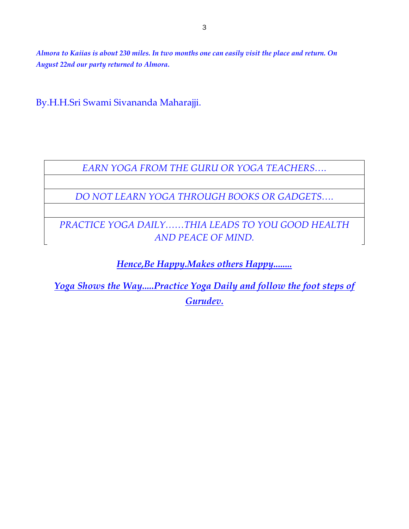*Almora to Kaiias is about 230 miles. In two months one can easily visit the place and return. On August 22nd our party returned to Almora.*

By.H.H.Sri Swami Sivananda Maharajji.

*EARN YOGA FROM THE GURU OR YOGA TEACHERS….*

*DO NOT LEARN YOGA THROUGH BOOKS OR GADGETS….*

*PRACTICE YOGA DAILY……THIA LEADS TO YOU GOOD HEALTH AND PEACE OF MIND.*

*Hence,Be Happy.Makes others Happy........*

*Yoga Shows the Way.....Practice Yoga Daily and follow the foot steps of Gurudev.*